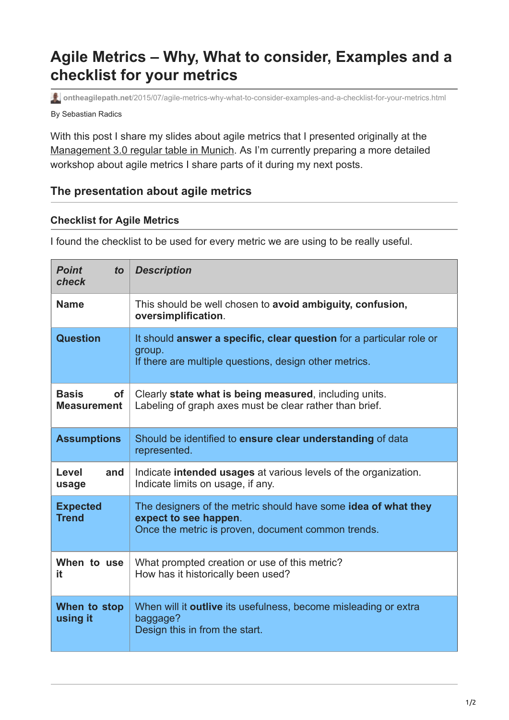# **Agile Metrics – Why, What to consider, Examples and a checklist for your metrics**

By Sebastian Radics **ontheagilepath.net**[/2015/07/agile-metrics-why-what-to-consider-examples-and-a-checklist-for-your-metrics.html](https://www.ontheagilepath.net/2015/07/agile-metrics-why-what-to-consider-examples-and-a-checklist-for-your-metrics.html)

With this post I share my slides about agile metrics that I presented originally at the [Management 3.0 regular table in Munich.](http://m30-stammtisch-muenchen.blogspot.de/2013/04/3-stammtisch-am-22042013-hauptthema.html) As I'm currently preparing a more detailed workshop about agile metrics I share parts of it during my next posts.

### **The presentation about agile metrics**

#### **Checklist for Agile Metrics**

I found the checklist to be used for every metric we are using to be really useful.

| <b>Point</b><br>to<br>check                     | <b>Description</b>                                                                                                                            |
|-------------------------------------------------|-----------------------------------------------------------------------------------------------------------------------------------------------|
| <b>Name</b>                                     | This should be well chosen to avoid ambiguity, confusion,<br>oversimplification.                                                              |
| <b>Question</b>                                 | It should answer a specific, clear question for a particular role or<br>group.<br>If there are multiple questions, design other metrics.      |
| <b>Basis</b><br><b>of</b><br><b>Measurement</b> | Clearly state what is being measured, including units.<br>Labeling of graph axes must be clear rather than brief.                             |
| <b>Assumptions</b>                              | Should be identified to ensure clear understanding of data<br>represented.                                                                    |
| Level<br>and<br>usage                           | Indicate intended usages at various levels of the organization.<br>Indicate limits on usage, if any.                                          |
| <b>Expected</b><br><b>Trend</b>                 | The designers of the metric should have some idea of what they<br>expect to see happen.<br>Once the metric is proven, document common trends. |
| When to use<br>it                               | What prompted creation or use of this metric?<br>How has it historically been used?                                                           |
| When to stop<br>using it                        | When will it outlive its usefulness, become misleading or extra<br>baggage?<br>Design this in from the start.                                 |